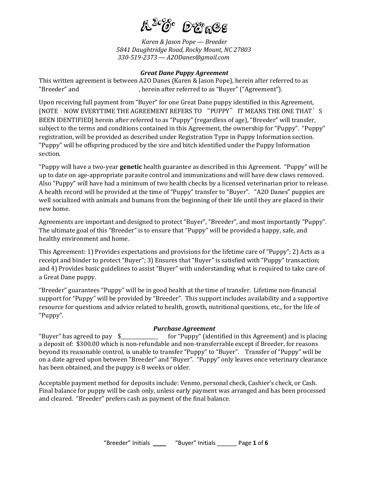

*Karen & Jason Pope — Breeder 5841 Daughtridge Road, Rocky Mount, NC 27803 330-519-2373 — A2ODanes@gmail.com*

### *Great Dane Puppy Agreement*

This written agreement is between A2O Danes (Karen & Jason Pope), herein after referred to as "Breeder" and , herein after referred to as "Buyer" ("Agreement").

Upon receiving full payment from "Buyer" for one Great Dane puppy identified in this Agreement, [NOTE – NOW EVERYTIME THE AGREEMENT REFERS TO "PUPPY" IT MEANS THE ONE THAT'S BEEN IDENTIFIED] herein after referred to as "Puppy" (regardless of age), "Breeder" will transfer, subject to the terms and conditions contained in this Agreement, the ownership for "Puppy". "Puppy" registration, will be provided as described under Registration Type in Puppy Information section. "Puppy" will be offspring produced by the sire and bitch identified under the Puppy Information section.

"Puppy will have a two-year **genetic** health guarantee as described in this Agreement. "Puppy" will be up to date on age-appropriate parasite control and immunizations and will have dew claws removed. Also "Puppy" will have had a minimum of two health checks by a licensed veterinarian prior to release. A health record will be provided at the time of "Puppy" transfer to "Buyer". "A2O Danes" puppies are well socialized with animals and humans from the beginning of their life until they are placed in their new home.

Agreements are important and designed to protect "Buyer", "Breeder", and most importantly "Puppy". The ultimate goal of this "Breeder" is to ensure that "Puppy" will be provided a happy, safe, and healthy environment and home.

This Agreement: 1) Provides expectations and provisions for the lifetime care of "Puppy"; 2) Acts as a receipt and binder to protect "Buyer"; 3) Ensures that "Buyer" is satisfied with "Puppy" transaction; and 4) Provides basic guidelines to assist "Buyer" with understanding what is required to take care of a Great Dane puppy.

"Breeder" guarantees "Puppy" will be in good health at the time of transfer. Lifetime non-financial support for "Puppy" will be provided by "Breeder". This support includes availability and a supportive resource for questions and advice related to health, growth, nutritional questions, etc., for the life of "Puppy".

# *Purchase Agreement*

"Buyer" has agreed to pay \$\_\_\_\_\_\_\_\_\_\_\_\_\_\_\_ for "Puppy" (identified in this Agreement) and is placing a deposit of: \$300.00 which is non-refundable and non-transferrable except if Breeder, for reasons beyond its reasonable control, is unable to transfer "Puppy" to "Buyer". Transfer of "Puppy" will be on a date agreed upon between "Breeder" and "Buyer". "Puppy" only leaves once veterinary clearance has been obtained, and the puppy is 8 weeks or older.

Acceptable payment method for deposits include: Venmo, personal check, Cashier's check, or Cash. Final balance for puppy will be cash only, unless early payment was arranged and has been processed and cleared. "Breeder" prefers cash as payment of the final balance.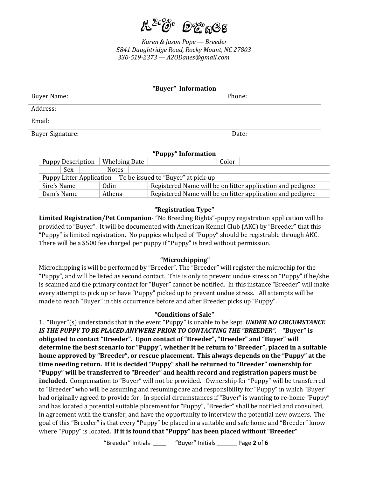

*Karen & Jason Pope — Breeder 5841 Daughtridge Road, Rocky Mount, NC 27803 330-519-2373 — A2ODanes@gmail.com*

| "Buyer" Information |        |  |  |  |  |
|---------------------|--------|--|--|--|--|
| Buyer Name:         | Phone: |  |  |  |  |
| Address:            |        |  |  |  |  |
| Email:              |        |  |  |  |  |
| Buyer Signature:    | Date:  |  |  |  |  |

# **"Puppy" Information**

| <b>Puppy Description</b>                                      |        | Whelping Date |  |                                                            | Color                                                      |  |
|---------------------------------------------------------------|--------|---------------|--|------------------------------------------------------------|------------------------------------------------------------|--|
| <b>Sex</b>                                                    |        | <b>Notes</b>  |  |                                                            |                                                            |  |
| Puppy Litter Application   To be issued to "Buyer" at pick-up |        |               |  |                                                            |                                                            |  |
| Sire's Name                                                   |        | Odin          |  |                                                            | Registered Name will be on litter application and pedigree |  |
| Dam's Name                                                    | Athena |               |  | Registered Name will be on litter application and pedigree |                                                            |  |

### **"Registration Type"**

**Limited Registration/Pet Companion**- "No Breeding Rights"-puppy registration application will be provided to "Buyer". It will be documented with American Kennel Club (AKC) by "Breeder" that this "Puppy" is limited registration. No puppies whelped of "Puppy" should be registrable through AKC. There will be a \$500 fee charged per puppy if "Puppy" is bred without permission.

# **"Microchipping"**

Microchipping is will be performed by "Breeder". The "Breeder" will register the microchip for the "Puppy", and will be listed as second contact. This is only to prevent undue stress on "Puppy" if he/she is scanned and the primary contact for "Buyer" cannot be notified. In this instance "Breeder" will make every attempt to pick up or have "Puppy" picked up to prevent undue stress. All attempts will be made to reach "Buyer" in this occurrence before and after Breeder picks up "Puppy".

#### **"Conditions of Sale"**

1. "Buyer"(s) understands that in the event "Puppy" is unable to be kept, *UNDER NO CIRCUMSTANCE IS THE PUPPY TO BE PLACED ANYWERE PRIOR TO CONTACTING THE "BREEDER".* **"Buyer" is obligated to contact "Breeder". Upon contact of "Breeder", "Breeder" and "Buyer" will determine the best scenario for "Puppy", whether it be return to "Breeder", placed in a suitable home approved by "Breeder", or rescue placement. This always depends on the "Puppy" at the time needing return. If it is decided "Puppy" shall be returned to "Breeder" ownership for "Puppy" will be transferred to "Breeder" and health record and registration papers must be included.** Compensation to "Buyer" will not be provided. Ownership for "Puppy" will be transferred to "Breeder" who will be assuming and resuming care and responsibility for "Puppy" in which "Buyer" had originally agreed to provide for. In special circumstances if "Buyer" is wanting to re-home "Puppy" and has located a potential suitable placement for "Puppy", "Breeder" shall be notified and consulted, in agreement with the transfer, and have the opportunity to interview the potential new owners. The goal of this "Breeder" is that every "Puppy" be placed in a suitable and safe home and "Breeder" know where "Puppy" is located. **If it is found that "Puppy" has been placed without "Breeder"**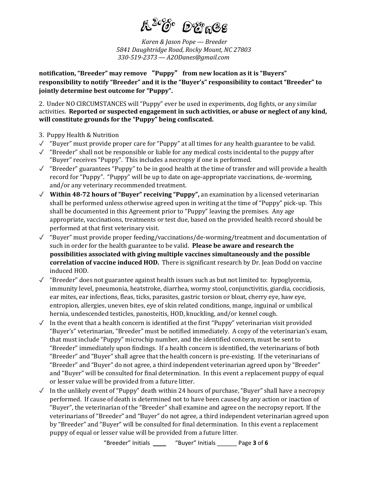

*Karen & Jason Pope — Breeder 5841 Daughtridge Road, Rocky Mount, NC 27803 330-519-2373 — A2ODanes@gmail.com*

**notification, "Breeder" may remove** "**Puppy**" **from new location as it is "Buyers" responsibility to notify "Breeder" and it is the "Buyer's" responsibility to contact "Breeder" to jointly determine best outcome for "Puppy".** 

2. Under NO CIRCUMSTANCES will "Puppy" ever be used in experiments, dog fights, or any similar activities. **Reported or suspected engagement in such activities, or abuse or neglect of any kind, will constitute grounds for the "Puppy" being confiscated.**

- 3. Puppy Health & Nutrition
- $\checkmark$  "Buyer" must provide proper care for "Puppy" at all times for any health guarantee to be valid.
- $\checkmark$  "Breeder" shall not be responsible or liable for any medical costs incidental to the puppy after "Buyer" receives "Puppy". This includes a necropsy if one is performed.
- ✓ "Breeder" guarantees "Puppy" to be in good health at the time of transfer and will provide a health record for "Puppy". "Puppy" will be up to date on age-appropriate vaccinations, de-worming, and/or any veterinary recommended treatment.
- ✓ **Within 48-72 hours of "Buyer" receiving "Puppy",** an examination by a licensed veterinarian shall be performed unless otherwise agreed upon in writing at the time of "Puppy" pick-up. This shall be documented in this Agreement prior to "Puppy" leaving the premises. Any age appropriate, vaccinations, treatments or test due, based on the provided health record should be performed at that first veterinary visit.
- ✓ "Buyer" must provide proper feeding/vaccinations/de-worming/treatment and documentation of such in order for the health guarantee to be valid. **Please be aware and research the possibilities associated with giving multiple vaccines simultaneously and the possible correlation of vaccine induced HOD.** There is significant research by Dr. Jean Dodd on vaccine induced HOD.
- ✓ "Breeder" does not guarantee against health issues such as but not limited to: hypoglycemia, immunity level, pneumonia, heatstroke, diarrhea, wormy stool, conjunctivitis, giardia, coccidiosis, ear mites, ear infections, fleas, ticks, parasites, gastric torsion or bloat, cherry eye, haw eye, entropion, allergies, uneven bites, eye of skin related conditions, mange, inguinal or umbilical hernia, undescended testicles, panosteitis, HOD, knuckling, and/or kennel cough.
- $\sqrt{\phantom{a}}$  In the event that a health concern is identified at the first "Puppy" veterinarian visit provided "Buyer's" veterinarian, "Breeder" must be notified immediately. A copy of the veterinarian's exam, that must include "Puppy" microchip number, and the identified concern, must be sent to "Breeder" immediately upon findings. If a health concern is identified, the veterinarians of both "Breeder" and "Buyer" shall agree that the health concern is pre-existing. If the veterinarians of "Breeder" and "Buyer" do not agree, a third independent veterinarian agreed upon by "Breeder" and "Buyer" will be consulted for final determination. In this event a replacement puppy of equal or lesser value will be provided from a future litter.
- ✓ In the unlikely event of "Puppy" death within 24 hours of purchase, "Buyer" shall have a necropsy performed. If cause of death is determined not to have been caused by any action or inaction of "Buyer", the veterinarian of the "Breeder" shall examine and agree on the necropsy report. If the veterinarians of "Breeder" and "Buyer" do not agree, a third independent veterinarian agreed upon by "Breeder" and "Buyer" will be consulted for final determination. In this event a replacement puppy of equal or lesser value will be provided from a future litter.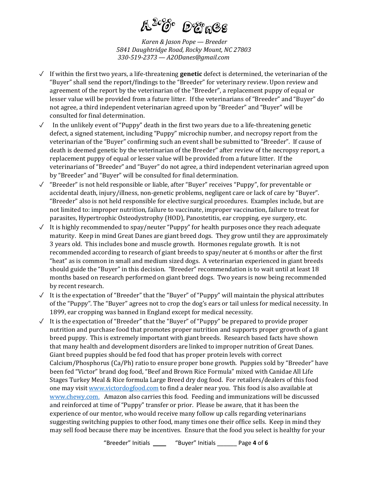

*Karen & Jason Pope — Breeder 5841 Daughtridge Road, Rocky Mount, NC 27803 330-519-2373 — A2ODanes@gmail.com*

- ✓ If within the first two years, a life-threatening **genetic** defect is determined, the veterinarian of the "Buyer" shall send the report/findings to the "Breeder" for veterinary review. Upon review and agreement of the report by the veterinarian of the "Breeder", a replacement puppy of equal or lesser value will be provided from a future litter. If the veterinarians of "Breeder" and "Buyer" do not agree, a third independent veterinarian agreed upon by "Breeder" and "Buyer" will be consulted for final determination.
- $\checkmark$  In the unlikely event of "Puppy" death in the first two years due to a life-threatening genetic defect, a signed statement, including "Puppy" microchip number, and necropsy report from the veterinarian of the "Buyer" confirming such an event shall be submitted to "Breeder". If cause of death is deemed genetic by the veterinarian of the Breeder" after review of the necropsy report, a replacement puppy of equal or lesser value will be provided from a future litter. If the veterinarians of "Breeder" and "Buyer" do not agree, a third independent veterinarian agreed upon by "Breeder" and "Buyer" will be consulted for final determination.
- $\checkmark$  "Breeder" is not held responsible or liable, after "Buyer" receives "Puppy", for preventable or accidental death, injury/illness, non-genetic problems, negligent care or lack of care by "Buyer". "Breeder" also is not held responsible for elective surgical procedures. Examples include, but are not limited to: improper nutrition, failure to vaccinate, improper vaccination, failure to treat for parasites, Hypertrophic Osteodystrophy (HOD), Panostetitis, ear cropping, eye surgery, etc.
- $\sqrt{\phantom{a}}$  It is highly recommended to spay/neuter "Puppy" for health purposes once they reach adequate maturity. Keep in mind Great Danes are giant breed dogs. They grow until they are approximately 3 years old. This includes bone and muscle growth. Hormones regulate growth. It is not recommended according to research of giant breeds to spay/neuter at 6 months or after the first "heat" as is common in small and medium sized dogs. A veterinarian experienced in giant breeds should guide the "Buyer" in this decision. "Breeder" recommendation is to wait until at least 18 months based on research performed on giant breed dogs. Two years is now being recommended by recent research.
- ✓ It is the expectation of "Breeder" that the "Buyer" of "Puppy" will maintain the physical attributes of the "Puppy". The "Buyer" agrees not to crop the dog's ears or tail unless for medical necessity. In 1899, ear cropping was banned in England except for medical necessity.
- ✓ It is the expectation of "Breeder" that the "Buyer" of "Puppy" be prepared to provide proper nutrition and purchase food that promotes proper nutrition and supports proper growth of a giant breed puppy. This is extremely important with giant breeds. Research based facts have shown that many health and development disorders are linked to improper nutrition of Great Danes. Giant breed puppies should be fed food that has proper protein levels with correct Calcium/Phosphorus (Ca/Ph) ratio to ensure proper bone growth. Puppies sold by "Breeder" have been fed "Victor" brand dog food, "Beef and Brown Rice Formula" mixed with Canidae All Life Stages Turkey Meal & Rice formula Large Breed dry dog food. For retailers/dealers of this food one may visi[t www.victordogfood.com](http://www.victordogfood.com/) to find a dealer near you. This food is also available at [www.chewy.com.](http://www.chewy.com/) Amazon also carries this food. Feeding and immunizations will be discussed and reinforced at time of "Puppy" transfer or prior. Please be aware, that it has been the experience of our mentor, who would receive many follow up calls regarding veterinarians suggesting switching puppies to other food, many times one their office sells. Keep in mind they may sell food because there may be incentives. Ensure that the food you select is healthy for your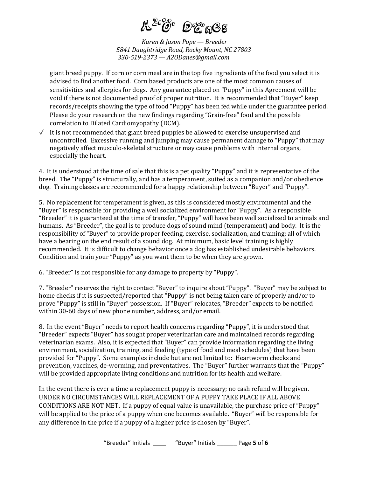

*Karen & Jason Pope — Breeder 5841 Daughtridge Road, Rocky Mount, NC 27803 330-519-2373 — A2ODanes@gmail.com*

giant breed puppy. If corn or corn meal are in the top five ingredients of the food you select it is advised to find another food. Corn based products are one of the most common causes of sensitivities and allergies for dogs. Any guarantee placed on "Puppy" in this Agreement will be void if there is not documented proof of proper nutrition. It is recommended that "Buyer" keep records/receipts showing the type of food "Puppy" has been fed while under the guarantee period. Please do your research on the new findings regarding "Grain-free" food and the possible correlation to Dilated Cardiomyopathy (DCM).

✓ It is not recommended that giant breed puppies be allowed to exercise unsupervised and uncontrolled. Excessive running and jumping may cause permanent damage to "Puppy" that may negatively affect musculo-skeletal structure or may cause problems with internal organs, especially the heart.

4. It is understood at the time of sale that this is a pet quality "Puppy" and it is representative of the breed. The "Puppy" is structurally, and has a temperament, suited as a companion and/or obedience dog. Training classes are recommended for a happy relationship between "Buyer" and "Puppy".

5. No replacement for temperament is given, as this is considered mostly environmental and the "Buyer" is responsible for providing a well socialized environment for "Puppy". As a responsible "Breeder" it is guaranteed at the time of transfer, "Puppy" will have been well socialized to animals and humans. As "Breeder", the goal is to produce dogs of sound mind (temperament) and body. It is the responsibility of "Buyer" to provide proper feeding, exercise, socialization, and training; all of which have a bearing on the end result of a sound dog. At minimum, basic level training is highly recommended. It is difficult to change behavior once a dog has established undesirable behaviors. Condition and train your "Puppy" as you want them to be when they are grown.

6. "Breeder" is not responsible for any damage to property by "Puppy".

7. "Breeder" reserves the right to contact "Buyer" to inquire about "Puppy". "Buyer" may be subject to home checks if it is suspected/reported that "Puppy" is not being taken care of properly and/or to prove "Puppy" is still in "Buyer" possession. If "Buyer" relocates, "Breeder" expects to be notified within 30-60 days of new phone number, address, and/or email.

8. In the event "Buyer" needs to report health concerns regarding "Puppy", it is understood that "Breeder" expects "Buyer" has sought proper veterinarian care and maintained records regarding veterinarian exams. Also, it is expected that "Buyer" can provide information regarding the living environment, socialization, training, and feeding (type of food and meal schedules) that have been provided for "Puppy". Some examples include but are not limited to: Heartworm checks and prevention, vaccines, de-worming, and preventatives. The "Buyer" further warrants that the "Puppy" will be provided appropriate living conditions and nutrition for its health and welfare.

In the event there is ever a time a replacement puppy is necessary; no cash refund will be given. UNDER NO CIRCUMSTANCES WILL REPLACEMENT OF A PUPPY TAKE PLACE IF ALL ABOVE CONDITIONS ARE NOT MET. If a puppy of equal value is unavailable, the purchase price of "Puppy" will be applied to the price of a puppy when one becomes available. "Buyer" will be responsible for any difference in the price if a puppy of a higher price is chosen by "Buyer".